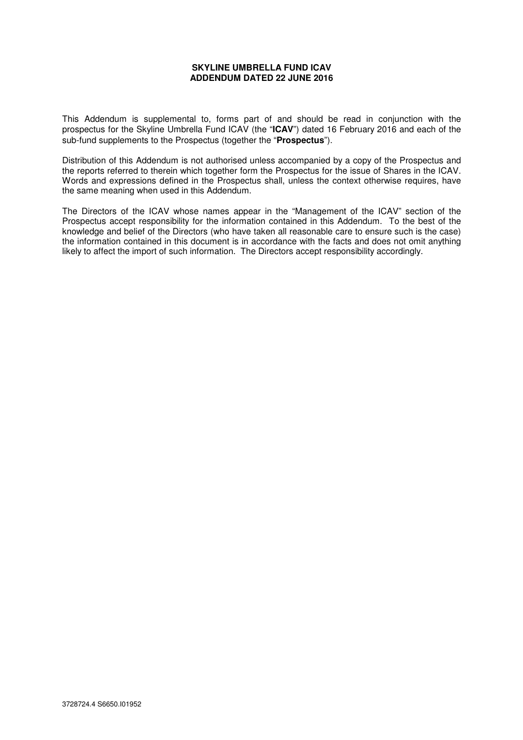### **SKYLINE UMBRELLA FUND ICAV ADDENDUM DATED 22 JUNE 2016**

This Addendum is supplemental to, forms part of and should be read in conjunction with the prospectus for the Skyline Umbrella Fund ICAV (the "**ICAV**") dated 16 February 2016 and each of the sub-fund supplements to the Prospectus (together the "**Prospectus**").

Distribution of this Addendum is not authorised unless accompanied by a copy of the Prospectus and the reports referred to therein which together form the Prospectus for the issue of Shares in the ICAV. Words and expressions defined in the Prospectus shall, unless the context otherwise requires, have the same meaning when used in this Addendum.

The Directors of the ICAV whose names appear in the "Management of the ICAV" section of the Prospectus accept responsibility for the information contained in this Addendum. To the best of the knowledge and belief of the Directors (who have taken all reasonable care to ensure such is the case) the information contained in this document is in accordance with the facts and does not omit anything likely to affect the import of such information. The Directors accept responsibility accordingly.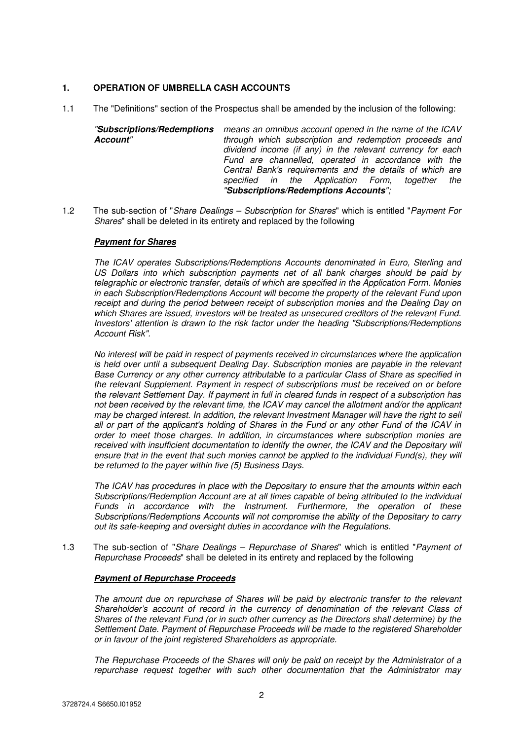# **1. OPERATION OF UMBRELLA CASH ACCOUNTS**

- 1.1 The "Definitions" section of the Prospectus shall be amended by the inclusion of the following:
	- "**Subscriptions/Redemptions**  means an omnibus account opened in the name of the ICAV **Account**" through which subscription and redemption proceeds and dividend income (if any) in the relevant currency for each Fund are channelled, operated in accordance with the Central Bank's requirements and the details of which are specified in the Application Form, together the "**Subscriptions/Redemptions Accounts**";
- 1.2 The sub-section of "Share Dealings Subscription for Shares" which is entitled "Payment For Shares" shall be deleted in its entirety and replaced by the following

## **Payment for Shares**

The ICAV operates Subscriptions/Redemptions Accounts denominated in Euro, Sterling and US Dollars into which subscription payments net of all bank charges should be paid by telegraphic or electronic transfer, details of which are specified in the Application Form. Monies in each Subscription/Redemptions Account will become the property of the relevant Fund upon receipt and during the period between receipt of subscription monies and the Dealing Day on which Shares are issued, investors will be treated as unsecured creditors of the relevant Fund. Investors' attention is drawn to the risk factor under the heading "Subscriptions/Redemptions Account Risk".

No interest will be paid in respect of payments received in circumstances where the application is held over until a subsequent Dealing Day. Subscription monies are payable in the relevant Base Currency or any other currency attributable to a particular Class of Share as specified in the relevant Supplement. Payment in respect of subscriptions must be received on or before the relevant Settlement Day. If payment in full in cleared funds in respect of a subscription has not been received by the relevant time, the ICAV may cancel the allotment and/or the applicant may be charged interest. In addition, the relevant Investment Manager will have the right to sell all or part of the applicant's holding of Shares in the Fund or any other Fund of the ICAV in order to meet those charges. In addition, in circumstances where subscription monies are received with insufficient documentation to identify the owner, the ICAV and the Depositary will ensure that in the event that such monies cannot be applied to the individual Fund(s), they will be returned to the payer within five (5) Business Days.

The ICAV has procedures in place with the Depositary to ensure that the amounts within each Subscriptions/Redemption Account are at all times capable of being attributed to the individual Funds in accordance with the Instrument. Furthermore, the operation of these Subscriptions/Redemptions Accounts will not compromise the ability of the Depositary to carry out its safe-keeping and oversight duties in accordance with the Regulations.

1.3 The sub-section of "Share Dealings – Repurchase of Shares" which is entitled "Payment of Repurchase Proceeds" shall be deleted in its entirety and replaced by the following

## **Payment of Repurchase Proceeds**

The amount due on repurchase of Shares will be paid by electronic transfer to the relevant Shareholder's account of record in the currency of denomination of the relevant Class of Shares of the relevant Fund (or in such other currency as the Directors shall determine) by the Settlement Date. Payment of Repurchase Proceeds will be made to the registered Shareholder or in favour of the joint registered Shareholders as appropriate.

The Repurchase Proceeds of the Shares will only be paid on receipt by the Administrator of a repurchase request together with such other documentation that the Administrator may